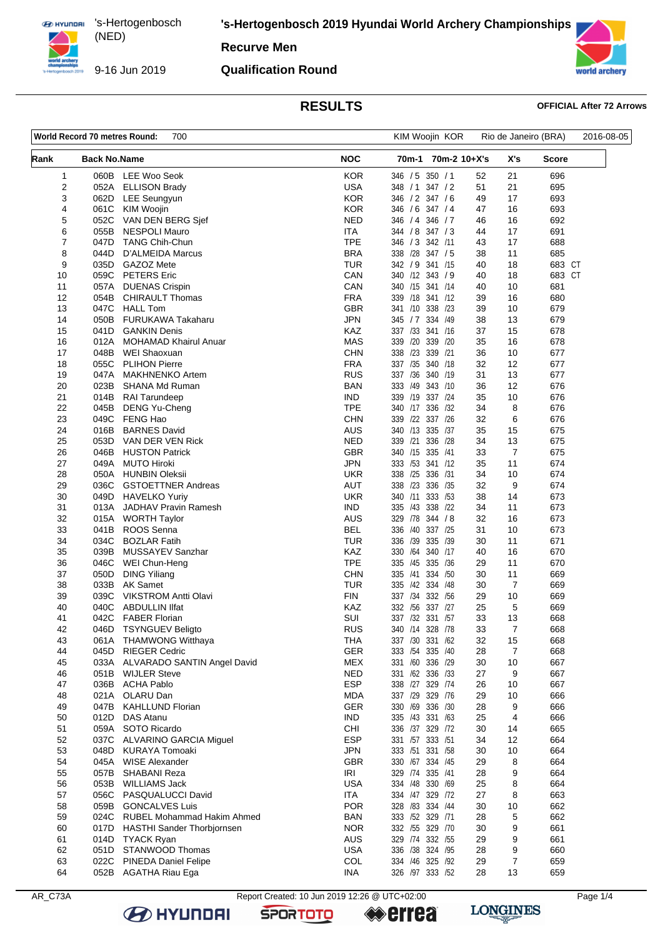9-16 Jun 2019

**'s-Hertogenbosch 2019 Hyundai World Archery Championships**

**Recurve Men**

### **Qualification Round**



# **RESULTS OFFICIAL After 72 Arrows**

|          | World Record 70 metres Round: | 700                                                    |                          | KIM Woojin KOR                        |          | Rio de Janeiro (BRA) |            | 2016-08-05 |
|----------|-------------------------------|--------------------------------------------------------|--------------------------|---------------------------------------|----------|----------------------|------------|------------|
| Rank     | <b>Back No.Name</b>           |                                                        | <b>NOC</b>               | 70m-1 70m-2 10+X's                    |          | X's                  | Score      |            |
| 1        |                               | 060B LEE Woo Seok                                      | <b>KOR</b>               | 346 / 5 350 / 1                       | 52       | 21                   | 696        |            |
| 2        | 052A                          | <b>ELLISON Brady</b>                                   | <b>USA</b>               | 348 / 1<br>347 / 2                    | 51       | 21                   | 695        |            |
| 3        |                               | 062D LEE Seungyun                                      | <b>KOR</b>               | 346 / 2 347 / 6                       | 49       | 17                   | 693        |            |
| 4        | 061C                          | KIM Woojin                                             | <b>KOR</b>               | 346 / 6 347 / 4                       | 47       | 16                   | 693        |            |
| 5        | 052C                          | VAN DEN BERG Sjef                                      | <b>NED</b>               | 346 / 7<br>346 / 4                    | 46       | 16                   | 692        |            |
| 6<br>7   | 055B<br>047D                  | <b>NESPOLI Mauro</b><br><b>TANG Chih-Chun</b>          | <b>ITA</b><br><b>TPE</b> | 344 / 8 347 / 3<br>346 / 3 342 /11    | 44<br>43 | 17<br>17             | 691<br>688 |            |
| 8        | 044D                          | D'ALMEIDA Marcus                                       | <b>BRA</b>               | 338 /28 347 / 5                       | 38       | 11                   | 685        |            |
| 9        | 035D                          | GAZOZ Mete                                             | <b>TUR</b>               | 342 / 9 341 /15                       | 40       | 18                   | 683 CT     |            |
| 10       |                               | 059C PETERS Eric                                       | CAN                      | 340 /12 343 / 9                       | 40       | 18                   | 683 CT     |            |
| 11       | 057A                          | <b>DUENAS Crispin</b>                                  | CAN                      | 340 /15 341 /14                       | 40       | 10                   | 681        |            |
| 12       | 054B                          | <b>CHIRAULT Thomas</b>                                 | <b>FRA</b>               | 339 /18 341 /12                       | 39       | 16                   | 680        |            |
| 13       | 047C                          | <b>HALL Tom</b>                                        | <b>GBR</b>               | 341 /10 338 /23                       | 39       | 10                   | 679        |            |
| 14       | 050B                          | FURUKAWA Takaharu                                      | <b>JPN</b>               | 345 / 7 334 / 49                      | 38       | 13                   | 679        |            |
| 15       | 041D                          | <b>GANKIN Denis</b>                                    | KAZ                      | 337 /33 341 /16                       | 37       | 15                   | 678        |            |
| 16       | 012A                          | <b>MOHAMAD Khairul Anuar</b>                           | <b>MAS</b>               | 339 /20 339 /20                       | 35       | 16                   | 678        |            |
| 17       | 048B                          | WEI Shaoxuan                                           | <b>CHN</b>               | 338 /23<br>339 /21                    | 36       | 10                   | 677        |            |
| 18       | 055C                          | <b>PLIHON Pierre</b>                                   | <b>FRA</b>               | 337 /35 340 /18                       | 32       | 12                   | 677        |            |
| 19       | 047A<br>023B                  | <b>MAKHNENKO Artem</b>                                 | <b>RUS</b><br><b>BAN</b> | 337 /36 340 /19<br>333 /49 343 /10    | 31<br>36 | 13<br>12             | 677        |            |
| 20<br>21 | 014B                          | <b>SHANA Md Ruman</b><br><b>RAI Tarundeep</b>          | <b>IND</b>               | 339 /19 337 /24                       | 35       | 10                   | 676<br>676 |            |
| 22       | 045B                          | <b>DENG Yu-Cheng</b>                                   | <b>TPE</b>               | 340 /17 336 /32                       | 34       | 8                    | 676        |            |
| 23       | 049C                          | FENG Hao                                               | <b>CHN</b>               | 339 /22 337 /26                       | 32       | 6                    | 676        |            |
| 24       | 016B                          | <b>BARNES David</b>                                    | <b>AUS</b>               | 340 /13 335 /37                       | 35       | 15                   | 675        |            |
| 25       | 053D                          | VAN DER VEN Rick                                       | <b>NED</b>               | 339 /21<br>336 /28                    | 34       | 13                   | 675        |            |
| 26       | 046B                          | <b>HUSTON Patrick</b>                                  | <b>GBR</b>               | 340 /15 335 /41                       | 33       | $\overline{7}$       | 675        |            |
| 27       | 049A                          | <b>MUTO Hiroki</b>                                     | <b>JPN</b>               | 333 /53 341 /12                       | 35       | 11                   | 674        |            |
| 28       | 050A                          | <b>HUNBIN Oleksii</b>                                  | <b>UKR</b>               | 336 /31<br>338 /25                    | 34       | 10                   | 674        |            |
| 29       | 036C                          | <b>GSTOETTNER Andreas</b>                              | <b>AUT</b>               | 338 /23 336 /35                       | 32       | 9                    | 674        |            |
| 30       | 049D                          | <b>HAVELKO Yuriy</b>                                   | <b>UKR</b>               | 333 /53<br>340 /11                    | 38       | 14                   | 673        |            |
| 31       | 013A                          | JADHAV Pravin Ramesh                                   | <b>IND</b>               | 338 /22<br>335 /43                    | 34       | 11                   | 673        |            |
| 32       | 015A                          | <b>WORTH Taylor</b>                                    | <b>AUS</b>               | 329 78 344 / 8                        | 32       | 16                   | 673        |            |
| 33       | 041B                          | ROOS Senna                                             | <b>BEL</b>               | 337 /25<br>336 /40                    | 31       | 10                   | 673        |            |
| 34<br>35 | 034C<br>039B                  | <b>BOZLAR Fatih</b><br>MUSSAYEV Sanzhar                | TUR<br>KAZ               | 336 /39<br>335 /39<br>330 /64 340 /17 | 30<br>40 | 11<br>16             | 671<br>670 |            |
| 36       | 046C                          | WEI Chun-Heng                                          | <b>TPE</b>               | 335 /36<br>335 /45                    | 29       | 11                   | 670        |            |
| 37       | 050D                          | <b>DING Yiliang</b>                                    | <b>CHN</b>               | 334 /50<br>335 /41                    | 30       | 11                   | 669        |            |
| 38       | 033B                          | <b>AK Samet</b>                                        | <b>TUR</b>               | 335 /42 334 /48                       | 30       | $\overline{7}$       | 669        |            |
| 39       | 039C                          | <b>VIKSTROM Antti Olavi</b>                            | <b>FIN</b>               | 337 /34 332 /56                       | 29       | 10                   | 669        |            |
| 40       | 040C                          | <b>ABDULLIN IIfat</b>                                  | KAZ                      | 332 /56 337 /27                       | 25       | 5                    | 669        |            |
| 41       | 042C                          | <b>FABER Florian</b>                                   | SUI                      | 337 /32 331 /57                       | 33       | 13                   | 668        |            |
| 42       | 046D                          | <b>TSYNGUEV Beligto</b>                                | <b>RUS</b>               | 340 /14 328 /78                       | 33       | $\overline{7}$       | 668        |            |
| 43       |                               | 061A THAMWONG Witthaya                                 | <b>THA</b>               | 337 /30 331 /62                       | 32       | 15                   | 668        |            |
| 44       | 045D                          | <b>RIEGER Cedric</b>                                   | <b>GER</b>               | 333 /54 335 /40                       | 28       | 7                    | 668        |            |
| 45       | 033A                          | ALVARADO SANTIN Angel David                            | <b>MEX</b>               | 331 /60 336 /29                       | 30       | 10                   | 667        |            |
| 46       | 051B                          | <b>WIJLER Steve</b>                                    | <b>NED</b><br><b>ESP</b> | 331 /62 336 /33                       | 27       | 9                    | 667        |            |
| 47<br>48 | 036B<br>021A                  | <b>ACHA Pablo</b><br>OLARU Dan                         | <b>MDA</b>               | 338 /27 329 /74<br>337 /29 329 /76    | 26<br>29 | 10<br>10             | 667<br>666 |            |
| 49       | 047B                          | <b>KAHLLUND Florian</b>                                | GER                      | 330 /69 336 /30                       | 28       | 9                    | 666        |            |
| 50       | 012D                          | <b>DAS Atanu</b>                                       | <b>IND</b>               | 335 /43 331 /63                       | 25       | 4                    | 666        |            |
| 51       | 059A                          | SOTO Ricardo                                           | CHI                      | 336 /37 329 /72                       | 30       | 14                   | 665        |            |
| 52       | 037C                          | ALVARINO GARCIA Miguel                                 | <b>ESP</b>               | 331 /57 333 /51                       | 34       | 12                   | 664        |            |
| 53       | 048D                          | <b>KURAYA Tomoaki</b>                                  | <b>JPN</b>               | 333 /51 331 /58                       | 30       | 10                   | 664        |            |
| 54       | 045A                          | <b>WISE Alexander</b>                                  | <b>GBR</b>               | 330 /67 334 /45                       | 29       | 8                    | 664        |            |
| 55       | 057B                          | SHABANI Reza                                           | IRI                      | 329 /74 335 /41                       | 28       | 9                    | 664        |            |
| 56       | 053B                          | WILLIAMS Jack                                          | <b>USA</b>               | 334 /48 330 /69                       | 25       | 8                    | 664        |            |
| 57       | 056C                          | PASQUALUCCI David                                      | ITA                      | 334 /47 329 /72                       | 27       | 8                    | 663        |            |
| 58       | 059B                          | <b>GONCALVES Luis</b>                                  | <b>POR</b>               | 328 /83 334 /44                       | 30       | 10                   | 662        |            |
| 59       | 024C                          | RUBEL Mohammad Hakim Ahmed                             | <b>BAN</b>               | 333 /52 329 /71                       | 28       | 5                    | 662        |            |
| 60<br>61 | 017D<br>014D                  | <b>HASTHI Sander Thorbjornsen</b><br><b>TYACK Ryan</b> | <b>NOR</b><br><b>AUS</b> | 332 /55 329 /70<br>329 /74 332 /55    | 30<br>29 | 9<br>9               | 661<br>661 |            |
| 62       | 051D                          | STANWOOD Thomas                                        | <b>USA</b>               | 336 /38 324 /95                       | 28       | 9                    | 660        |            |
| 63       | 022C                          | <b>PINEDA Daniel Felipe</b>                            | COL                      | 334 /46 325 /92                       | 29       | 7                    | 659        |            |
| 64       | 052B                          | AGATHA Riau Ega                                        | INA                      | 326 /97 333 /52                       | 28       | 13                   | 659        |            |
|          |                               |                                                        |                          |                                       |          |                      |            |            |

**B** HYUNDAI

AR\_C73A Report Created: 10 Jun 2019 12:26 @ UTC+02:00

**SPORTOTO** 

**errea** 

**LONGINES**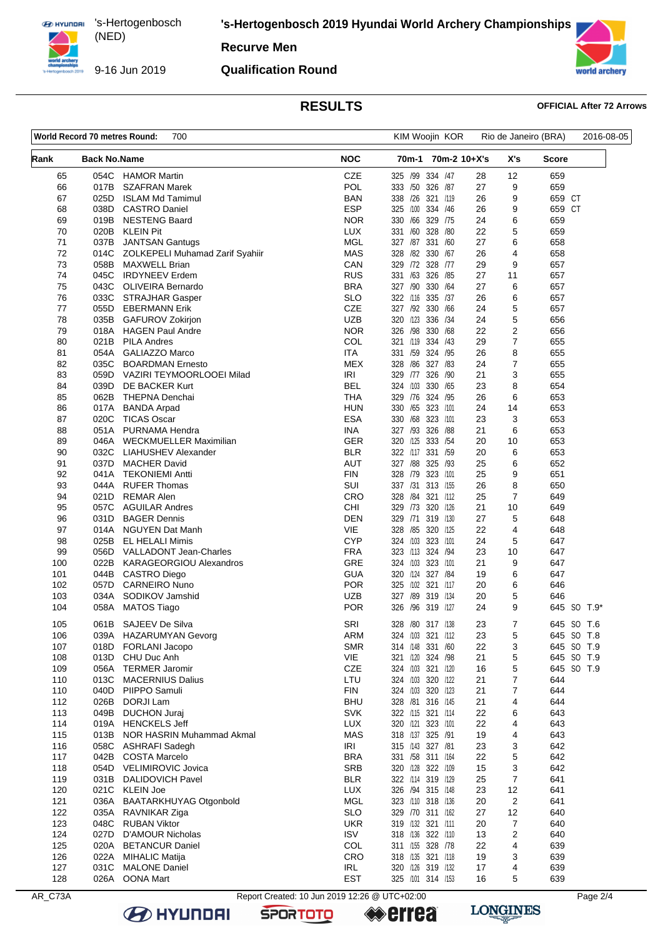9-16 Jun 2019

**'s-Hertogenbosch 2019 Hyundai World Archery Championships**

**Recurve Men**

### **Qualification Round**



## **RESULTS OFFICIAL After 72 Arrows**

|            | World Record 70 metres Round: | 700                                              |                                               | KIM Woojin KOR                        |          | Rio de Janeiro (BRA) |               | 2016-08-05  |
|------------|-------------------------------|--------------------------------------------------|-----------------------------------------------|---------------------------------------|----------|----------------------|---------------|-------------|
| Rank       | <b>Back No.Name</b>           |                                                  | <b>NOC</b>                                    | 70m-2 10+X's<br>70m-1                 |          | X's                  | Score         |             |
| 65         | 054C                          | <b>HAMOR Martin</b>                              | <b>CZE</b>                                    | 325 /99 334 /47                       | 28       | 12                   | 659           |             |
| 66         | 017B                          | <b>SZAFRAN Marek</b>                             | POL                                           | 333 /50 326 /87                       | 27       | 9                    | 659           |             |
| 67         | 025D                          | <b>ISLAM Md Tamimul</b>                          | <b>BAN</b>                                    | 338 /26 321 /119                      | 26       | 9                    | 659 CT        |             |
| 68<br>69   | 038D<br>019B                  | <b>CASTRO Daniel</b><br><b>NESTENG Baard</b>     | <b>ESP</b><br><b>NOR</b>                      | 325 /100 334 /46<br>330 /66 329 /75   | 26<br>24 | 9                    | 659 CT<br>659 |             |
| 70         |                               | 020B KLEIN Pit                                   | <b>LUX</b>                                    | 331 /60 328<br>/80                    | 22       | 6<br>5               | 659           |             |
| 71         | 037B                          | <b>JANTSAN Gantugs</b>                           | MGL                                           | 327 /87 331 /60                       | 27       | 6                    | 658           |             |
| 72         |                               | 014C ZOLKEPELI Muhamad Zarif Syahiir             | <b>MAS</b>                                    | 328 /82 330 /67                       | 26       | 4                    | 658           |             |
| 73         | 058B                          | MAXWELL Brian                                    | CAN                                           | 329 /72 328 /77                       | 29       | 9                    | 657           |             |
| 74         | 045C                          | <b>IRDYNEEV Erdem</b>                            | <b>RUS</b>                                    | 331 /63 326 /85                       | 27       | 11                   | 657           |             |
| 75         | 043C                          | <b>OLIVEIRA Bernardo</b>                         | <b>BRA</b>                                    | 327 /90 330<br>/64                    | 27       | 6                    | 657           |             |
| 76         | 033C                          | STRAJHAR Gasper                                  | <b>SLO</b>                                    | 322 /116 335 /37                      | 26       | 6                    | 657           |             |
| 77         | 055D                          | <b>EBERMANN Erik</b>                             | CZE                                           | 327 /92 330 /66                       | 24       | 5                    | 657           |             |
| 78         |                               | 035B GAFUROV Zokirjon                            | <b>UZB</b>                                    | 320 /123<br>336 /34                   | 24       | 5                    | 656           |             |
| 79         |                               | 018A HAGEN Paul Andre                            | <b>NOR</b>                                    | 326 /98 330 /68                       | 22       | 2                    | 656           |             |
| 80         |                               | 021B PILA Andres                                 | COL                                           | 321 /119 334 /43                      | 29       | 7                    | 655           |             |
| 81         | 054A                          | <b>GALIAZZO Marco</b>                            | ITA.                                          | 331 /59<br>324 /95                    | 26       | 8                    | 655           |             |
| 82         | 035C                          | <b>BOARDMAN Ernesto</b>                          | MEX                                           | 328 / 86 327 / 83                     | 24       | 7                    | 655           |             |
| 83         | 059D                          | VAZIRI TEYMOORLOOEI Milad                        | <b>IRI</b>                                    | 329 /77 326 /90                       | 21       | 3                    | 655           |             |
| 84         | 039D                          | DE BACKER Kurt                                   | BEL                                           | 330 /65<br>324 /103                   | 23       | 8                    | 654           |             |
| 85         | 062B                          | THEPNA Denchai                                   | <b>THA</b>                                    | 329 76 324 /95                        | 26       | 6                    | 653           |             |
| 86         | 017A                          | <b>BANDA Arpad</b>                               | HUN                                           | 330 /65 323 /101                      | 24       | 14                   | 653           |             |
| 87         | 020C                          | <b>TICAS Oscar</b>                               | ESA                                           | 330 /68 323 /101                      | 23       | 3                    | 653           |             |
| 88         |                               | 051A PURNAMA Hendra                              | <b>INA</b>                                    | 327 /93 326 /88                       | 21       | 6                    | 653           |             |
| 89         |                               | 046A WECKMUELLER Maximilian                      | GER                                           | 320 /125 333 /54                      | 20       | 10                   | 653           |             |
| 90         | 032C                          | LIAHUSHEV Alexander                              | <b>BLR</b>                                    | 322 /117 331 /59                      | 20       | 6                    | 653           |             |
| 91         | 037D                          | <b>MACHER David</b>                              | <b>AUT</b>                                    | 327 /88 325 /93                       | 25       | 6                    | 652           |             |
| 92         |                               | 041A TEKONIEMI Antti                             | <b>FIN</b>                                    | 328 /79 323 /101                      | 25       | 9                    | 651           |             |
| 93         | 044A                          | <b>RUFER Thomas</b>                              | SUI                                           | 337 /31 313 /155                      | 26       | 8                    | 650           |             |
| 94         | 021D                          | <b>REMAR Alen</b>                                | CRO                                           | 328 / 84 321 / 112                    | 25       | $\overline{7}$       | 649           |             |
| 95         | 057C                          | <b>AGUILAR Andres</b>                            | CHI                                           | 329 /73 320 /126                      | 21       | 10                   | 649           |             |
| 96         | 031D                          | <b>BAGER Dennis</b>                              | <b>DEN</b>                                    | 319 /130<br>329 /71                   | 27       | 5                    | 648           |             |
| 97         |                               | 014A NGUYEN Dat Manh                             | <b>VIE</b>                                    | 328 /85 320 /125                      | 22       | 4                    | 648           |             |
| 98         | 025B                          | EL HELALI Mimis                                  | <b>CYP</b>                                    | 324 /103<br>323 /101                  | 24       | 5                    | 647           |             |
| 99         | 056D                          | VALLADONT Jean-Charles                           | <b>FRA</b>                                    | 323 /113 324 /94                      | 23       | 10                   | 647           |             |
| 100        | 022B                          | <b>KARAGEORGIOU Alexandros</b>                   | GRE                                           | 324 /103 323 /101                     | 21       | 9                    | 647           |             |
| 101        | 044B                          | CASTRO Diego                                     | GUA                                           | 320 /124 327 /84                      | 19       | 6                    | 647           |             |
| 102        | 057D                          | <b>CARNEIRO Nuno</b>                             | <b>POR</b>                                    | 325 /102 321 /117                     | 20       | 6                    | 646           |             |
| 103        | 034A                          | SODIKOV Jamshid                                  | <b>UZB</b>                                    | 327 /89 319 /134                      | 20       | 5                    | 646           |             |
| 104        | 058A                          | <b>MATOS Tiago</b>                               | <b>POR</b>                                    | 326 /96 319 /127                      | 24       | 9                    |               | 645 SO T.9* |
| 105        |                               | 061B SAJEEV De Silva                             | SRI                                           | 328 /80 317 /138                      | 23       | $\mathbf{7}$         |               | 645 SO T.6  |
| 106        |                               | 039A HAZARUMYAN Gevorg                           | <b>ARM</b>                                    | 324 /103 321 /112                     | 23       | 5                    |               | 645 SO T.8  |
| 107        |                               | 018D FORLANI Jacopo                              | <b>SMR</b>                                    | 314 /148 331 /60                      | 22       | 3                    |               | 645 SO T.9  |
| 108        |                               | 013D CHU Duc Anh                                 | VIE                                           | 321 /120 324 /98                      | 21       | 5                    |               | 645 SO T.9  |
| 109        |                               | 056A TERMER Jaromir                              | CZE                                           | 324 /103 321 /120                     | 16       | 5                    |               | 645 SO T.9  |
| 110        | 013C                          | <b>MACERNIUS Dalius</b>                          | LTU                                           | 324 /103 320 /122                     | 21       | 7                    | 644           |             |
| 110<br>112 | 026B                          | 040D PIIPPO Samuli<br>DORJI Lam                  | <b>FIN</b><br><b>BHU</b>                      | 324 /103 320 /123                     | 21       | 7                    | 644<br>644    |             |
|            |                               | 049B DUCHON Juraj                                | <b>SVK</b>                                    | 328 /81 316 /145<br>322 /115 321 /114 | 21       | 4                    | 643           |             |
| 113<br>114 |                               | 019A HENCKELS Jeff                               | <b>LUX</b>                                    | 320 /121 323 /101                     | 22<br>22 | 6                    |               |             |
|            | 013B                          |                                                  | <b>MAS</b>                                    | 318 /137 325 /91                      | 19       | 4                    | 643<br>643    |             |
| 115<br>116 |                               | NOR HASRIN Muhammad Akmal<br>058C ASHRAFI Sadegh | IRI                                           | 315 /143 327 /81                      | 23       | 4<br>3               | 642           |             |
| 117        |                               | 042B COSTA Marcelo                               | <b>BRA</b>                                    | 331 /58 311 /164                      | 22       | 5                    | 642           |             |
| 118        |                               | 054D VELIMIROVIC Jovica                          | <b>SRB</b>                                    | 320 /128 322 /109                     | 15       | 3                    | 642           |             |
| 119        | 031B                          | DALIDOVICH Pavel                                 | <b>BLR</b>                                    | 322 /114 319 /129                     | 25       | $\overline{7}$       | 641           |             |
|            |                               |                                                  | <b>LUX</b>                                    |                                       | 23       |                      | 641           |             |
| 120<br>121 |                               | 021C KLEIN Joe<br>036A BAATARKHUYAG Otgonbold    | MGL                                           | 326 /94 315 /148<br>323 /110 318 /136 | 20       | 12<br>2              | 641           |             |
| 122        | 035A                          |                                                  | <b>SLO</b>                                    | 329 /70 311 /162                      | 27       | 12                   | 640           |             |
| 123        | 048C                          | RAVNIKAR Ziga<br><b>RUBAN Viktor</b>             | <b>UKR</b>                                    | 319 /132 321 /111                     | 20       | 7                    | 640           |             |
| 124        | 027D                          | D'AMOUR Nicholas                                 | <b>ISV</b>                                    | 318 /136 322 /110                     | 13       | 2                    | 640           |             |
| 125        |                               | 020A BETANCUR Daniel                             | COL                                           | 311 /155 328 /78                      | 22       | 4                    | 639           |             |
| 126        |                               | 022A MIHALIC Matija                              | CRO                                           | 318 /135 321 /118                     | 19       | 3                    | 639           |             |
| 127        | 031C                          | MALONE Daniel                                    | IRL                                           | 320 /126 319 /132                     | 17       | 4                    | 639           |             |
| 128        |                               | 026A OONA Mart                                   | EST                                           | 325 /101 314 /153                     | 16       | 5                    | 639           |             |
|            |                               |                                                  |                                               |                                       |          |                      |               |             |
| AR_C73A    |                               |                                                  | Report Created: 10 Jun 2019 12:26 @ UTC+02:00 |                                       |          |                      |               | Page 2/4    |

**B** HYUNDAI

**SPORTOTO** 

**errea** 

**LONGINES**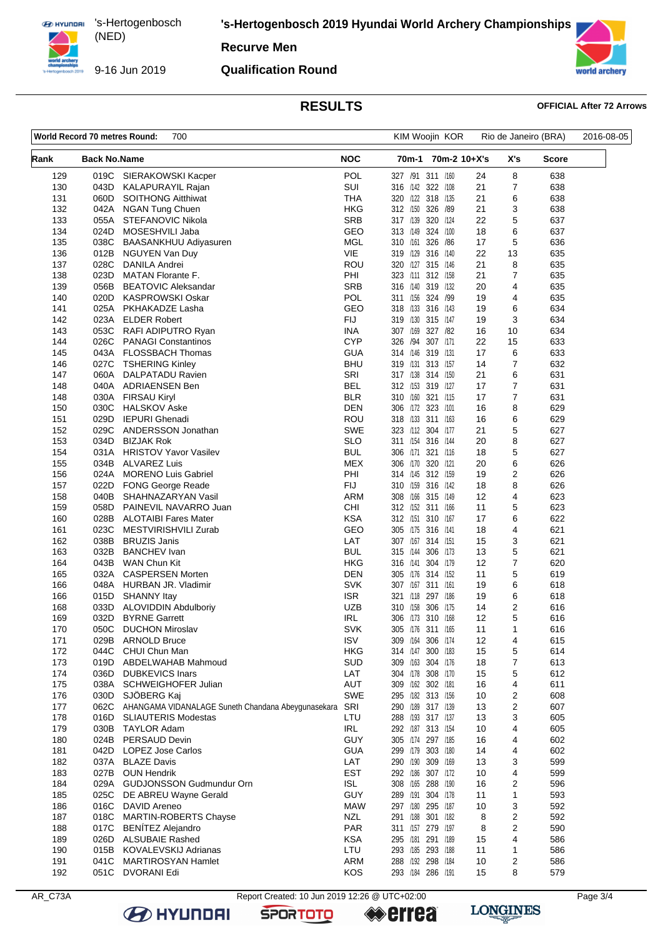9-16 Jun 2019

**'s-Hertogenbosch 2019 Hyundai World Archery Championships**

**Recurve Men**

### **Qualification Round**



# **RESULTS OFFICIAL After 72 Arrows**

| World Record 70 metres Round:<br>700 |                     |                                                        |                          | KIM Woojin KOR                         |              | Rio de Janeiro (BRA) | 2016-08-05              |            |  |
|--------------------------------------|---------------------|--------------------------------------------------------|--------------------------|----------------------------------------|--------------|----------------------|-------------------------|------------|--|
| Rank                                 | <b>Back No.Name</b> |                                                        | <b>NOC</b>               | 70m-1                                  | 70m-2 10+X's |                      | X's                     | Score      |  |
| 129                                  | 019C                | SIERAKOWSKI Kacper                                     | <b>POL</b>               | 327 /91 311 /160                       |              | 24                   | 8                       | 638        |  |
| 130                                  | 043D                | <b>KALAPURAYIL Rajan</b>                               | SUI                      | 316 /142 322 /108                      |              | 21                   | 7                       | 638        |  |
| 131                                  | 060D                | <b>SOITHONG Aitthiwat</b>                              | <b>THA</b>               | 320 /122 318 /135                      |              | 21                   | 6                       | 638        |  |
| 132                                  | 042A                | <b>NGAN Tung Chuen</b>                                 | HKG                      | 312 /150 326 /89                       |              | 21                   | 3                       | 638        |  |
| 133<br>134                           | 055A<br>024D        | STEFANOVIC Nikola<br>MOSESHVILI Jaba                   | <b>SRB</b><br>GEO        | 317 /139 320 /124<br>313 /149          | 324 /100     | 22<br>18             | 5<br>6                  | 637<br>637 |  |
| 135                                  | 038C                | BAASANKHUU Adiyasuren                                  | <b>MGL</b>               | 310 /161 326 /86                       |              | 17                   | 5                       | 636        |  |
| 136                                  | 012B                | NGUYEN Van Duy                                         | VIE                      | 319 /129 316 /140                      |              | 22                   | 13                      | 635        |  |
| 137                                  | 028C                | DANILA Andrei                                          | ROU                      | 320 /127                               | 315 /146     | 21                   | 8                       | 635        |  |
| 138                                  | 023D                | <b>MATAN Florante F.</b>                               | PHI                      | 323 /111 312 /158                      |              | 21                   | $\overline{7}$          | 635        |  |
| 139                                  | 056B                | <b>BEATOVIC Aleksandar</b>                             | <b>SRB</b>               | 316 /140 319 /132                      |              | 20                   | 4                       | 635        |  |
| 140                                  | 020D                | <b>KASPROWSKI Oskar</b>                                | POL                      | 311 /156                               | 324 /99      | 19                   | 4                       | 635        |  |
| 141                                  | 025A                | PKHAKADZE Lasha                                        | GEO                      | 318 /133 316 /143                      |              | 19                   | 6                       | 634        |  |
| 142                                  | 023A                | <b>ELDER Robert</b>                                    | <b>FIJ</b>               | 319 /130 315 /147                      |              | 19                   | 3                       | 634        |  |
| 143                                  | 053C                | RAFI ADIPUTRO Ryan                                     | INA                      | 307 /169                               | 327 /82      | 16                   | 10                      | 634        |  |
| 144                                  | 026C                | <b>PANAGI Constantinos</b>                             | <b>CYP</b>               | 326 /94                                | 307 /171     | 22                   | 15                      | 633        |  |
| 145                                  | 043A                | FLOSSBACH Thomas                                       | GUA                      | 314 /146 319 /131                      |              | 17                   | 6                       | 633        |  |
| 146                                  | 027C                | <b>TSHERING Kinley</b><br>DALPATADU Ravien             | <b>BHU</b><br>SRI        | 319 /131                               | 313 /157     | 14                   | 7                       | 632        |  |
| 147<br>148                           | 060A<br>040A        | ADRIAENSEN Ben                                         | <b>BEL</b>               | 317 /138 314 /150<br>312 /153 319 /127 |              | 21<br>17             | 6<br>$\overline{7}$     | 631<br>631 |  |
| 148                                  | 030A                | <b>FIRSAU Kiryl</b>                                    | <b>BLR</b>               | 310 /160 321 /115                      |              | 17                   | 7                       | 631        |  |
| 150                                  | 030C                | <b>HALSKOV Aske</b>                                    | DEN                      | 306 /172 323 /101                      |              | 16                   | 8                       | 629        |  |
| 151                                  | 029D                | <b>IEPURI</b> Ghenadi                                  | <b>ROU</b>               | 318 /133                               | 311 /163     | 16                   | 6                       | 629        |  |
| 152                                  | 029C                | ANDERSSON Jonathan                                     | <b>SWE</b>               | 323 /112 304 /177                      |              | 21                   | 5                       | 627        |  |
| 153                                  | 034D                | <b>BIZJAK Rok</b>                                      | SLO                      | 311 /154 316 /144                      |              | 20                   | 8                       | 627        |  |
| 154                                  | 031A                | <b>HRISTOV Yavor Vasilev</b>                           | <b>BUL</b>               | 306 /171                               | 321 /116     | 18                   | 5                       | 627        |  |
| 155                                  | 034B                | <b>ALVAREZ Luis</b>                                    | <b>MEX</b>               | 306 /170 320 /121                      |              | 20                   | 6                       | 626        |  |
| 156                                  | 024A                | <b>MORENO Luis Gabriel</b>                             | PHI                      | 314 /145 312 /159                      |              | 19                   | 2                       | 626        |  |
| 157                                  | 022D                | <b>FONG George Reade</b>                               | FIJ                      | 310 /159                               | 316 /142     | 18                   | 8                       | 626        |  |
| 158                                  | 040B                | SHAHNAZARYAN Vasil                                     | <b>ARM</b>               | 308 /166 315 /149                      |              | 12                   | 4                       | 623        |  |
| 159                                  | 058D                | PAINEVIL NAVARRO Juan                                  | CHI                      | 312 /152 311 /166                      |              | 11                   | 5                       | 623        |  |
| 160                                  | 028B<br>023C        | <b>ALOTAIBI Fares Mater</b><br>MESTVIRISHVILI Zurab    | <b>KSA</b><br>GEO        | 312 /151<br>305 /175 316 /141          | 310 /167     | 17<br>18             | 6<br>4                  | 622<br>621 |  |
| 161<br>162                           | 038B                | <b>BRUZIS Janis</b>                                    | LAT                      | 307 /167 314 /151                      |              | 15                   | 3                       | 621        |  |
| 163                                  | 032B                | <b>BANCHEV</b> Ivan                                    | <b>BUL</b>               | 315 /144                               | 306 /173     | 13                   | 5                       | 621        |  |
| 164                                  | 043B                | WAN Chun Kit                                           | HKG                      | 316 /141                               | 304 /179     | 12                   | $\overline{7}$          | 620        |  |
| 165                                  | 032A                | <b>CASPERSEN Morten</b>                                | <b>DEN</b>               | 305 /176 314 /152                      |              | 11                   | 5                       | 619        |  |
| 166                                  | 048A                | HURBAN JR. Vladimir                                    | <b>SVK</b>               | 307 /167                               | 311 /161     | 19                   | 6                       | 618        |  |
| 166                                  | 015D                | <b>SHANNY Itay</b>                                     | <b>ISR</b>               | 321 /118 297 /186                      |              | 19                   | 6                       | 618        |  |
| 168                                  | 033D                | ALOVIDDIN Abdulboriy                                   | UZB                      | 310 /158                               | 306 /175     | 14                   | 2                       | 616        |  |
| 169                                  | 032D                | <b>BYRNE Garrett</b>                                   | IRL                      | 306 /173 310 /168                      |              | 12                   | 5                       | 616        |  |
| 170                                  | 050C                | <b>DUCHON Miroslav</b>                                 | <b>SVK</b>               | 305 /176 311 /165                      |              | 11                   | 1                       | 616        |  |
| 171                                  | 029B                | <b>ARNOLD Bruce</b>                                    | <b>ISV</b>               | 309 /164 306 /174                      |              | 12                   | 4                       | 615        |  |
| 172                                  | 044C                | CHUI Chun Man                                          | <b>HKG</b>               | 314 /147 300 /183                      |              | 15                   | 5                       | 614        |  |
| 173                                  | 019D                | ABDELWAHAB Mahmoud                                     | <b>SUD</b>               | 309 /163 304 /176                      |              | 18                   | 7                       | 613        |  |
| 174<br>175                           | 036D<br>038A        | <b>DUBKEVICS Inars</b><br>SCHWEIGHOFER Julian          | LAT<br>AUT               | 304 /178 308 /170<br>309 /162 302 /181 |              | 15<br>16             | 5<br>4                  | 612<br>611 |  |
| 176                                  | 030D                | SJÖBERG Kaj                                            | <b>SWE</b>               | 295 /182 313 /156                      |              | 10                   | 2                       | 608        |  |
| 177                                  | 062C                | AHANGAMA VIDANALAGE Suneth Chandana Abeygunasekara SRI |                          | 290 /189 317 /139                      |              | 13                   | $\overline{\mathbf{c}}$ | 607        |  |
| 178                                  | 016D                | <b>SLIAUTERIS Modestas</b>                             | LTU                      | 288 /193 317 /137                      |              | 13                   | 3                       | 605        |  |
| 179                                  | 030B                | <b>TAYLOR Adam</b>                                     | <b>IRL</b>               | 292 /187 313 /154                      |              | 10                   | 4                       | 605        |  |
| 180                                  | 024B                | PERSAUD Devin                                          | GUY                      | 305 /174 297 /185                      |              | 16                   | 4                       | 602        |  |
| 181                                  | 042D                | <b>LOPEZ Jose Carlos</b>                               | <b>GUA</b>               | 299 /179 303 /180                      |              | 14                   | 4                       | 602        |  |
| 182                                  | 037A                | <b>BLAZE Davis</b>                                     | LAT                      | 290 /190 309 /169                      |              | 13                   | 3                       | 599        |  |
| 183                                  | 027B                | <b>OUN Hendrik</b>                                     | <b>EST</b>               | 292 /186 307 /172                      |              | 10                   | 4                       | 599        |  |
| 184                                  | 029A                | GUDJONSSON Gudmundur Orn                               | ISL                      | 308 /165 288 /190                      |              | 16                   | $\overline{\mathbf{c}}$ | 596        |  |
| 185                                  | 025C                | DE ABREU Wayne Gerald                                  | GUY                      | 289 /191 304 /178                      |              | 11                   | 1                       | 593        |  |
| 186                                  | 016C                | DAVID Areneo                                           | <b>MAW</b>               | 297 /180                               | 295 /187     | 10                   | 3                       | 592        |  |
| 187                                  | 018C                | MARTIN-ROBERTS Chayse                                  | <b>NZL</b>               | 291 /188 301 /182                      |              | 8                    | 2                       | 592        |  |
| 188<br>189                           | 017C<br>026D        | <b>BENITEZ Alejandro</b><br><b>ALSUBAIE Rashed</b>     | <b>PAR</b><br><b>KSA</b> | 311 /157 279 /197<br>295 /181          | 291 /189     | 8<br>15              | 2<br>4                  | 590<br>586 |  |
| 190                                  | 015B                | <b>KOVALEVSKIJ Adrianas</b>                            | LTU                      | 293 /185 293 /188                      |              | 11                   | $\mathbf 1$             | 586        |  |
| 191                                  | 041C                | <b>MARTIROSYAN Hamlet</b>                              | ARM                      | 288 /192 298 /184                      |              | 10                   | 2                       | 586        |  |
| 192                                  | 051C                | <b>DVORANI Edi</b>                                     | <b>KOS</b>               | 293 /184 286 /191                      |              | 15                   | 8                       | 579        |  |
|                                      |                     |                                                        |                          |                                        |              |                      |                         |            |  |

**B** HYUNDAI

AR\_C73A Report Created: 10 Jun 2019 12:26 @ UTC+02:00

**SPORTOTO** 

**errea** 

**LONGINES**